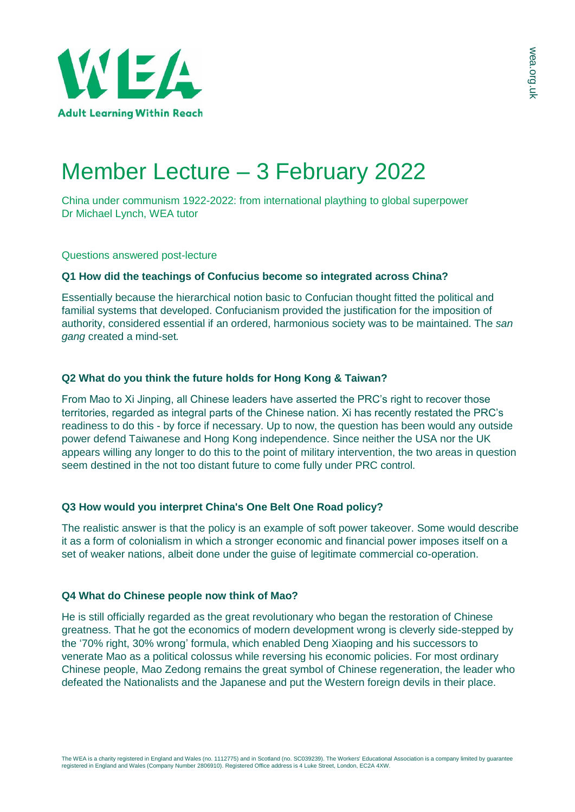

# Member Lecture – 3 February 2022

China under communism 1922-2022: from international plaything to global superpower Dr Michael Lynch, WEA tutor

Questions answered post-lecture

## **Q1 How did the teachings of Confucius become so integrated across China?**

Essentially because the hierarchical notion basic to Confucian thought fitted the political and familial systems that developed. Confucianism provided the justification for the imposition of authority, considered essential if an ordered, harmonious society was to be maintained. The *san gang* created a mind-set*.*

## **Q2 What do you think the future holds for Hong Kong & Taiwan?**

From Mao to Xi Jinping, all Chinese leaders have asserted the PRC's right to recover those territories, regarded as integral parts of the Chinese nation. Xi has recently restated the PRC's readiness to do this - by force if necessary. Up to now, the question has been would any outside power defend Taiwanese and Hong Kong independence. Since neither the USA nor the UK appears willing any longer to do this to the point of military intervention, the two areas in question seem destined in the not too distant future to come fully under PRC control.

## **Q3 How would you interpret China's One Belt One Road policy?**

The realistic answer is that the policy is an example of soft power takeover. Some would describe it as a form of colonialism in which a stronger economic and financial power imposes itself on a set of weaker nations, albeit done under the guise of legitimate commercial co-operation.

#### **Q4 What do Chinese people now think of Mao?**

He is still officially regarded as the great revolutionary who began the restoration of Chinese greatness. That he got the economics of modern development wrong is cleverly side-stepped by the '70% right, 30% wrong' formula, which enabled Deng Xiaoping and his successors to venerate Mao as a political colossus while reversing his economic policies. For most ordinary Chinese people, Mao Zedong remains the great symbol of Chinese regeneration, the leader who defeated the Nationalists and the Japanese and put the Western foreign devils in their place.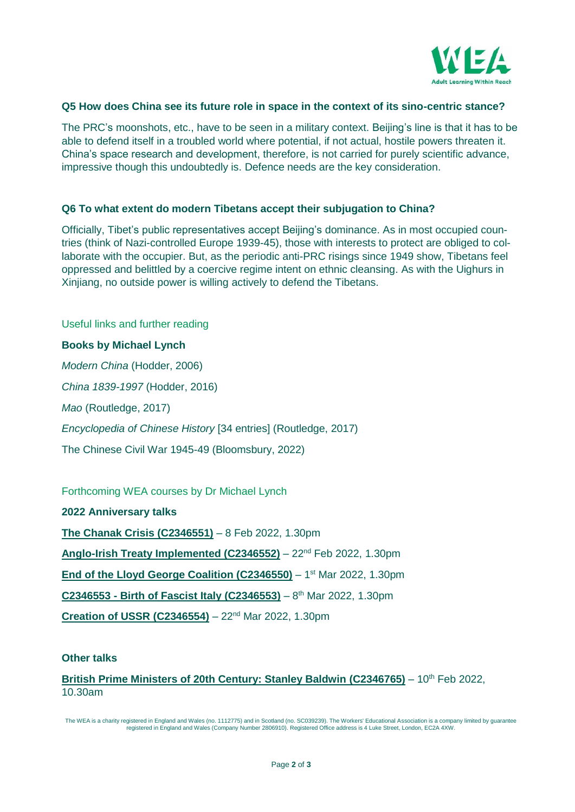

### **Q5 How does China see its future role in space in the context of its sino-centric stance?**

The PRC's moonshots, etc., have to be seen in a military context. Beijing's line is that it has to be able to defend itself in a troubled world where potential, if not actual, hostile powers threaten it. China's space research and development, therefore, is not carried for purely scientific advance, impressive though this undoubtedly is. Defence needs are the key consideration.

#### **Q6 To what extent do modern Tibetans accept their subjugation to China?**

Officially, Tibet's public representatives accept Beijing's dominance. As in most occupied countries (think of Nazi-controlled Europe 1939-45), those with interests to protect are obliged to collaborate with the occupier. But, as the periodic anti-PRC risings since 1949 show, Tibetans feel oppressed and belittled by a coercive regime intent on ethnic cleansing. As with the Uighurs in Xinjiang, no outside power is willing actively to defend the Tibetans.

Useful links and further reading **Books by Michael Lynch** *Modern China* (Hodder, 2006) *China 1839-1997* (Hodder, 2016) *Mao* (Routledge, 2017) *Encyclopedia of Chinese History* [34 entries] (Routledge, 2017) The Chinese Civil War 1945-49 (Bloomsbury, 2022)

# Forthcoming WEA courses by Dr Michael Lynch

**2022 Anniversary talks [The Chanak Crisis \(C2346551\)](https://enrolonline.wea.org.uk/Online/2021/CourseInfo.aspx?r=C2346551)** – 8 Feb 2022, 1.30pm **[Anglo-Irish Treaty Implemented \(C2346552\)](https://enrolonline.wea.org.uk/Online/2021/CourseInfo.aspx?r=C2346552)** – 22nd Feb 2022, 1.30pm **[End of the Lloyd George Coalition](https://enrolonline.wea.org.uk/Online/2021/CourseInfo.aspx?r=C2346550) (C2346550)** - 1<sup>st</sup> Mar 2022, 1.30pm **C2346553 - [Birth of Fascist Italy \(C2346553\)](https://enrolonline.wea.org.uk/Online/2021/CourseInfo.aspx?r=C2346553)** – 8 th Mar 2022, 1.30pm **[Creation of USSR](https://enrolonline.wea.org.uk/Online/2021/CourseInfo.aspx?r=C2346554) (C2346554)** – 22nd Mar 2022, 1.30pm

#### **Other talks**

[British Prime Ministers of 20th Century: Stanley Baldwin](https://enrolonline.wea.org.uk/Online/2021/CourseInfo.aspx?r=C2346765) (C2346765) - 10<sup>th</sup> Feb 2022, 10.30am

The WEA is a charity registered in England and Wales (no. 1112775) and in Scotland (no. SC039239). The Workers' Educational Association is a company limited by guarantee registered in England and Wales (Company Number 2806910). Registered Office address is 4 Luke Street, London, EC2A 4XW.